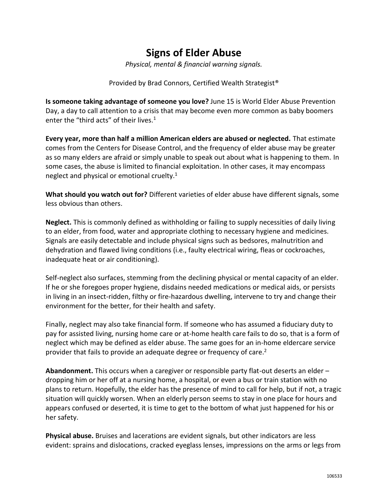## **Signs of Elder Abuse**

*Physical, mental & financial warning signals.* 

Provided by Brad Connors, Certified Wealth Strategist®

**Is someone taking advantage of someone you love?** June 15 is World Elder Abuse Prevention Day, a day to call attention to a crisis that may become even more common as baby boomers enter the "third acts" of their lives. $1$ 

**Every year, more than half a million American elders are abused or neglected.** That estimate comes from the Centers for Disease Control, and the frequency of elder abuse may be greater as so many elders are afraid or simply unable to speak out about what is happening to them. In some cases, the abuse is limited to financial exploitation. In other cases, it may encompass neglect and physical or emotional cruelty.<sup>1</sup>

**What should you watch out for?** Different varieties of elder abuse have different signals, some less obvious than others.

**Neglect.** This is commonly defined as withholding or failing to supply necessities of daily living to an elder, from food, water and appropriate clothing to necessary hygiene and medicines. Signals are easily detectable and include physical signs such as bedsores, malnutrition and dehydration and flawed living conditions (i.e., faulty electrical wiring, fleas or cockroaches, inadequate heat or air conditioning).

Self-neglect also surfaces, stemming from the declining physical or mental capacity of an elder. If he or she foregoes proper hygiene, disdains needed medications or medical aids, or persists in living in an insect-ridden, filthy or fire-hazardous dwelling, intervene to try and change their environment for the better, for their health and safety.

Finally, neglect may also take financial form. If someone who has assumed a fiduciary duty to pay for assisted living, nursing home care or at-home health care fails to do so, that is a form of neglect which may be defined as elder abuse. The same goes for an in-home eldercare service provider that fails to provide an adequate degree or frequency of care.<sup>2</sup>

**Abandonment.** This occurs when a caregiver or responsible party flat-out deserts an elder – dropping him or her off at a nursing home, a hospital, or even a bus or train station with no plans to return. Hopefully, the elder has the presence of mind to call for help, but if not, a tragic situation will quickly worsen. When an elderly person seems to stay in one place for hours and appears confused or deserted, it is time to get to the bottom of what just happened for his or her safety.

**Physical abuse.** Bruises and lacerations are evident signals, but other indicators are less evident: sprains and dislocations, cracked eyeglass lenses, impressions on the arms or legs from